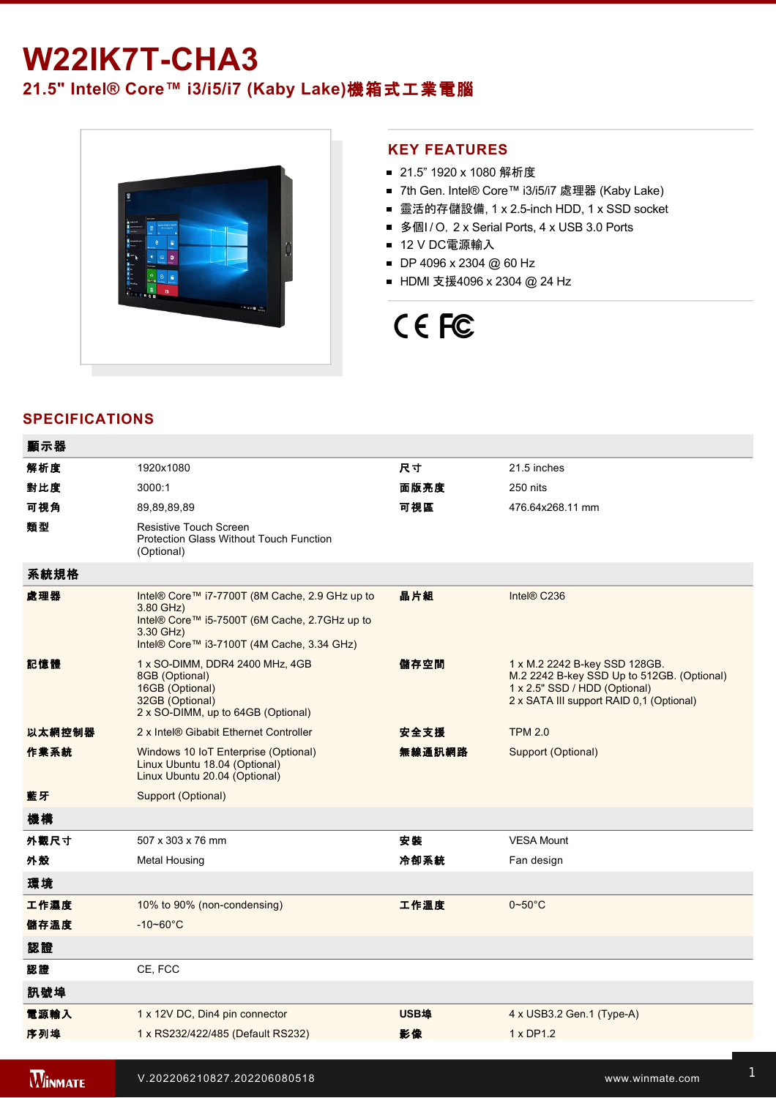## **W22IK7T-CHA3**

### **21.5" Intel® Core™ i3/i5/i7 (Kaby Lake)**機箱式工業電腦



### **KEY FEATURES**

- 21.5" 1920 x 1080 解析度
- 7th Gen. Intel® Core™ i3/i5/i7 處理器 (Kaby Lake)
- 靈活的存儲設備, 1 x 2.5-inch HDD, 1 x SSD socket
- 多個I / O, 2 x Serial Ports, 4 x USB 3.0 Ports
- 12 V DC電源輸入
- DP 4096 x 2304 @ 60 Hz
- HDMI 支援4096 x 2304 @ 24 Hz

# CE FC

### **SPECIFICATIONS**

| 顯示器            |                                                                                                                                                                         |             |                                                                                                                                                          |
|----------------|-------------------------------------------------------------------------------------------------------------------------------------------------------------------------|-------------|----------------------------------------------------------------------------------------------------------------------------------------------------------|
| 解析度            | 1920x1080                                                                                                                                                               | 尺寸          | 21.5 inches                                                                                                                                              |
| 對比度            | 3000:1                                                                                                                                                                  | 面版亮度        | 250 nits                                                                                                                                                 |
| 可視角            | 89,89,89,89                                                                                                                                                             | 可視區         | 476.64x268.11 mm                                                                                                                                         |
| 類型             | Resistive Touch Screen<br><b>Protection Glass Without Touch Function</b><br>(Optional)                                                                                  |             |                                                                                                                                                          |
| 系統規格           |                                                                                                                                                                         |             |                                                                                                                                                          |
| 處理器            | Intel® Core™ i7-7700T (8M Cache, 2.9 GHz up to<br>3.80 GHz)<br>Intel® Core™ i5-7500T (6M Cache, 2.7GHz up to<br>3.30 GHz)<br>Intel® Core™ i3-7100T (4M Cache, 3.34 GHz) | 晶片組         | Intel® C236                                                                                                                                              |
| 記憶體            | 1 x SO-DIMM, DDR4 2400 MHz, 4GB<br>8GB (Optional)<br>16GB (Optional)<br>32GB (Optional)<br>2 x SO-DIMM, up to 64GB (Optional)                                           | 儲存空間        | 1 x M.2 2242 B-key SSD 128GB.<br>M.2 2242 B-key SSD Up to 512GB. (Optional)<br>1 x 2.5" SSD / HDD (Optional)<br>2 x SATA III support RAID 0,1 (Optional) |
| 以太網控制器         | 2 x Intel® Gibabit Ethernet Controller                                                                                                                                  | 安全支援        | <b>TPM 2.0</b>                                                                                                                                           |
| 作業系統           | Windows 10 IoT Enterprise (Optional)<br>Linux Ubuntu 18.04 (Optional)<br>Linux Ubuntu 20.04 (Optional)                                                                  | 無線通訊網路      | Support (Optional)                                                                                                                                       |
| 藍牙             | Support (Optional)                                                                                                                                                      |             |                                                                                                                                                          |
| 機構             |                                                                                                                                                                         |             |                                                                                                                                                          |
| 外觀尺寸           | 507 x 303 x 76 mm                                                                                                                                                       | 安装          | <b>VESA Mount</b>                                                                                                                                        |
| 外殼             | <b>Metal Housing</b>                                                                                                                                                    | 冷卻系統        | Fan design                                                                                                                                               |
| 環境             |                                                                                                                                                                         |             |                                                                                                                                                          |
| 工作濕度           | 10% to 90% (non-condensing)                                                                                                                                             | 工作溫度        | $0 - 50$ °C                                                                                                                                              |
| 儲存溫度           | $-10 - 60^{\circ}$ C                                                                                                                                                    |             |                                                                                                                                                          |
| 認證             |                                                                                                                                                                         |             |                                                                                                                                                          |
| 認證             | CE, FCC                                                                                                                                                                 |             |                                                                                                                                                          |
| 訊號埠            |                                                                                                                                                                         |             |                                                                                                                                                          |
| 電源輸入           | 1 x 12V DC, Din4 pin connector                                                                                                                                          | <b>USB埠</b> | 4 x USB3.2 Gen.1 (Type-A)                                                                                                                                |
| 序列埠            | 1 x RS232/422/485 (Default RS232)                                                                                                                                       | 影像          | 1 x DP1.2                                                                                                                                                |
|                |                                                                                                                                                                         |             |                                                                                                                                                          |
| <b>WINMATE</b> | V.202206210827.202206080518                                                                                                                                             |             | www.winmate.com                                                                                                                                          |